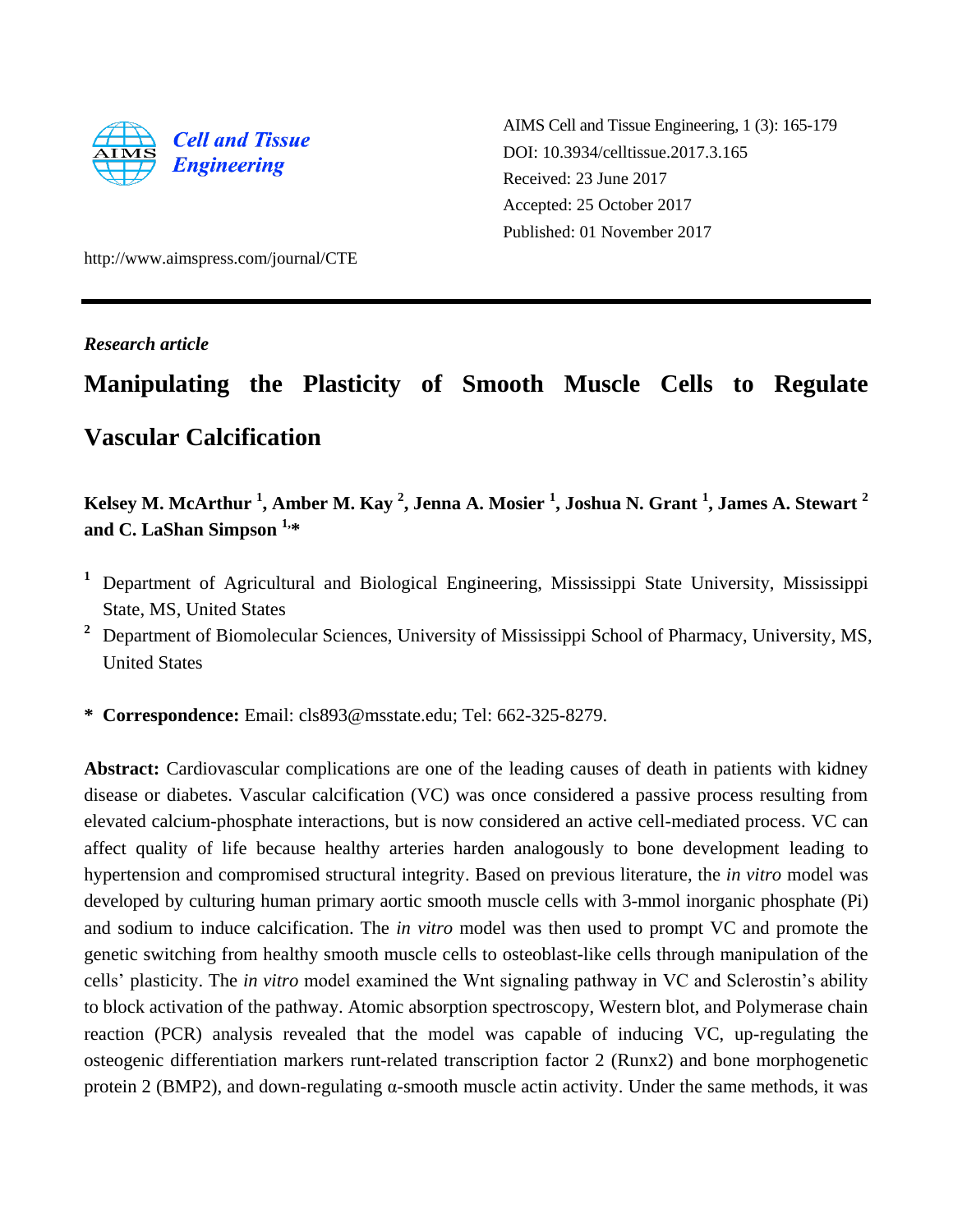

AIMS Cell and Tissue Engineering, 1 (3): 165-179 DOI: 10.3934/celltissue.2017.3.165 Received: 23 June 2017 Accepted: 25 October 2017 Published: 01 November 2017

http://www.aimspress.com/journal/CTE

# *Research article*

# **Manipulating the Plasticity of Smooth Muscle Cells to Regulate Vascular Calcification**

# **Kelsey M. McArthur <sup>1</sup> , Amber M. Kay <sup>2</sup> , Jenna A. Mosier <sup>1</sup> , Joshua N. Grant <sup>1</sup> , James A. Stewart <sup>2</sup> and C. LaShan Simpson 1, \***

- **<sup>1</sup>** Department of Agricultural and Biological Engineering, Mississippi State University, Mississippi State, MS, United States
- **<sup>2</sup>** Department of Biomolecular Sciences, University of Mississippi School of Pharmacy, University, MS, United States
- **\* Correspondence:** Email: cls893@msstate.edu; Tel: 662-325-8279.

**Abstract:** Cardiovascular complications are one of the leading causes of death in patients with kidney disease or diabetes. Vascular calcification (VC) was once considered a passive process resulting from elevated calcium-phosphate interactions, but is now considered an active cell-mediated process. VC can affect quality of life because healthy arteries harden analogously to bone development leading to hypertension and compromised structural integrity. Based on previous literature, the *in vitro* model was developed by culturing human primary aortic smooth muscle cells with 3-mmol inorganic phosphate (Pi) and sodium to induce calcification. The *in vitro* model was then used to prompt VC and promote the genetic switching from healthy smooth muscle cells to osteoblast-like cells through manipulation of the cells' plasticity. The *in vitro* model examined the Wnt signaling pathway in VC and Sclerostin's ability to block activation of the pathway. Atomic absorption spectroscopy, Western blot, and Polymerase chain reaction (PCR) analysis revealed that the model was capable of inducing VC, up-regulating the osteogenic differentiation markers runt-related transcription factor 2 (Runx2) and bone morphogenetic protein 2 (BMP2), and down-regulating  $\alpha$ -smooth muscle actin activity. Under the same methods, it was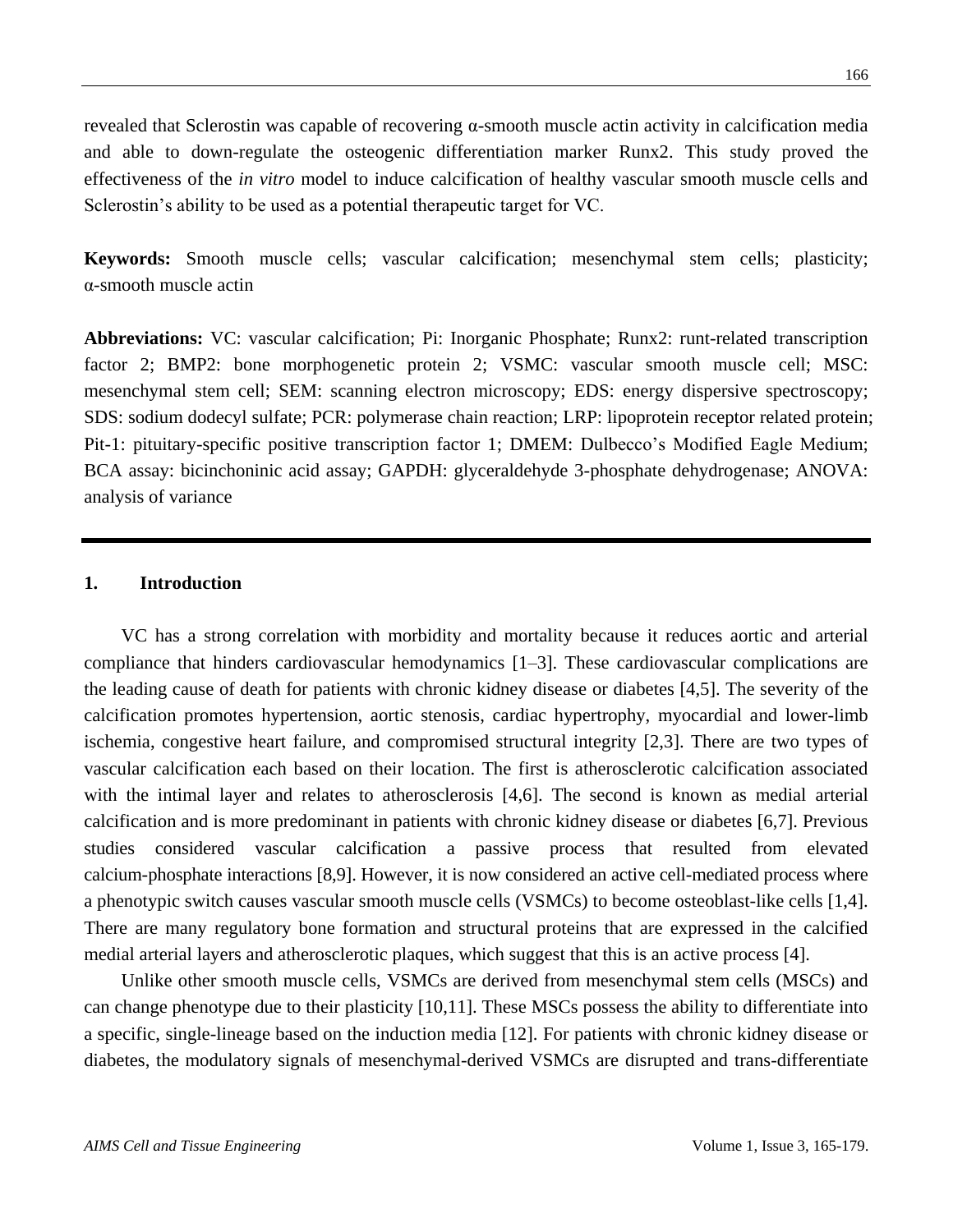revealed that Sclerostin was capable of recovering α-smooth muscle actin activity in calcification media and able to down-regulate the osteogenic differentiation marker Runx2. This study proved the effectiveness of the *in vitro* model to induce calcification of healthy vascular smooth muscle cells and Sclerostin's ability to be used as a potential therapeutic target for VC.

**Keywords:** Smooth muscle cells; vascular calcification; mesenchymal stem cells; plasticity; α-smooth muscle actin

**Abbreviations:** VC: vascular calcification; Pi: Inorganic Phosphate; Runx2: runt-related transcription factor 2; BMP2: bone morphogenetic protein 2; VSMC: vascular smooth muscle cell; MSC: mesenchymal stem cell; SEM: scanning electron microscopy; EDS: energy dispersive spectroscopy; SDS: sodium dodecyl sulfate; PCR: polymerase chain reaction; LRP: lipoprotein receptor related protein; Pit-1: pituitary-specific positive transcription factor 1; DMEM: Dulbecco's Modified Eagle Medium; BCA assay: bicinchoninic acid assay; GAPDH: glyceraldehyde 3-phosphate dehydrogenase; ANOVA: analysis of variance

#### **1. Introduction**

VC has a strong correlation with morbidity and mortality because it reduces aortic and arterial compliance that hinders cardiovascular hemodynamics [1–3]. These cardiovascular complications are the leading cause of death for patients with chronic kidney disease or diabetes [4,5]. The severity of the calcification promotes hypertension, aortic stenosis, cardiac hypertrophy, myocardial and lower-limb ischemia, congestive heart failure, and compromised structural integrity [2,3]. There are two types of vascular calcification each based on their location. The first is atherosclerotic calcification associated with the intimal layer and relates to atherosclerosis [4,6]. The second is known as medial arterial calcification and is more predominant in patients with chronic kidney disease or diabetes [6,7]. Previous studies considered vascular calcification a passive process that resulted from elevated calcium-phosphate interactions [8,9]. However, it is now considered an active cell-mediated process where a phenotypic switch causes vascular smooth muscle cells (VSMCs) to become osteoblast-like cells [1,4]. There are many regulatory bone formation and structural proteins that are expressed in the calcified medial arterial layers and atherosclerotic plaques, which suggest that this is an active process [4].

Unlike other smooth muscle cells, VSMCs are derived from mesenchymal stem cells (MSCs) and can change phenotype due to their plasticity [10,11]. These MSCs possess the ability to differentiate into a specific, single-lineage based on the induction media [12]. For patients with chronic kidney disease or diabetes, the modulatory signals of mesenchymal-derived VSMCs are disrupted and trans-differentiate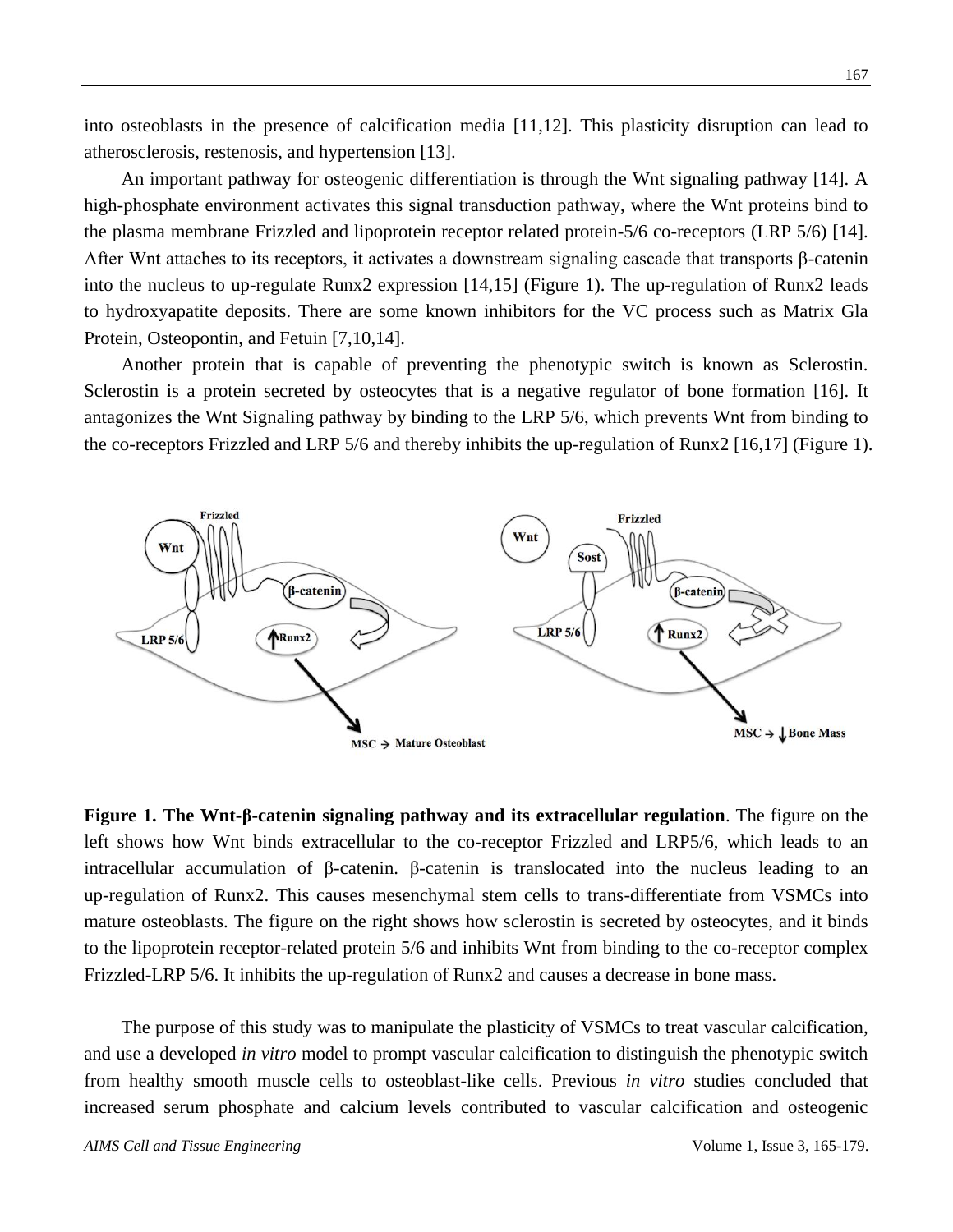into osteoblasts in the presence of calcification media [11,12]. This plasticity disruption can lead to atherosclerosis, restenosis, and hypertension [13].

An important pathway for osteogenic differentiation is through the Wnt signaling pathway [14]. A high-phosphate environment activates this signal transduction pathway, where the Wnt proteins bind to the plasma membrane Frizzled and lipoprotein receptor related protein-5/6 co-receptors (LRP 5/6) [14]. After Wnt attaches to its receptors, it activates a downstream signaling cascade that transports β-catenin into the nucleus to up-regulate Runx2 expression [14,15] (Figure 1). The up-regulation of Runx2 leads to hydroxyapatite deposits. There are some known inhibitors for the VC process such as Matrix Gla Protein, Osteopontin, and Fetuin [7,10,14].

Another protein that is capable of preventing the phenotypic switch is known as Sclerostin. Sclerostin is a protein secreted by osteocytes that is a negative regulator of bone formation [16]. It antagonizes the Wnt Signaling pathway by binding to the LRP 5/6, which prevents Wnt from binding to the co-receptors Frizzled and LRP 5/6 and thereby inhibits the up-regulation of Runx2 [16,17] (Figure 1).



**Figure 1. The Wnt-β-catenin signaling pathway and its extracellular regulation**. The figure on the left shows how Wnt binds extracellular to the co-receptor Frizzled and LRP5/6, which leads to an intracellular accumulation of β-catenin. β-catenin is translocated into the nucleus leading to an up-regulation of Runx2. This causes mesenchymal stem cells to trans-differentiate from VSMCs into mature osteoblasts. The figure on the right shows how sclerostin is secreted by osteocytes, and it binds to the lipoprotein receptor-related protein 5/6 and inhibits Wnt from binding to the co-receptor complex Frizzled-LRP 5/6. It inhibits the up-regulation of Runx2 and causes a decrease in bone mass.

The purpose of this study was to manipulate the plasticity of VSMCs to treat vascular calcification, and use a developed *in vitro* model to prompt vascular calcification to distinguish the phenotypic switch from healthy smooth muscle cells to osteoblast-like cells. Previous *in vitro* studies concluded that increased serum phosphate and calcium levels contributed to vascular calcification and osteogenic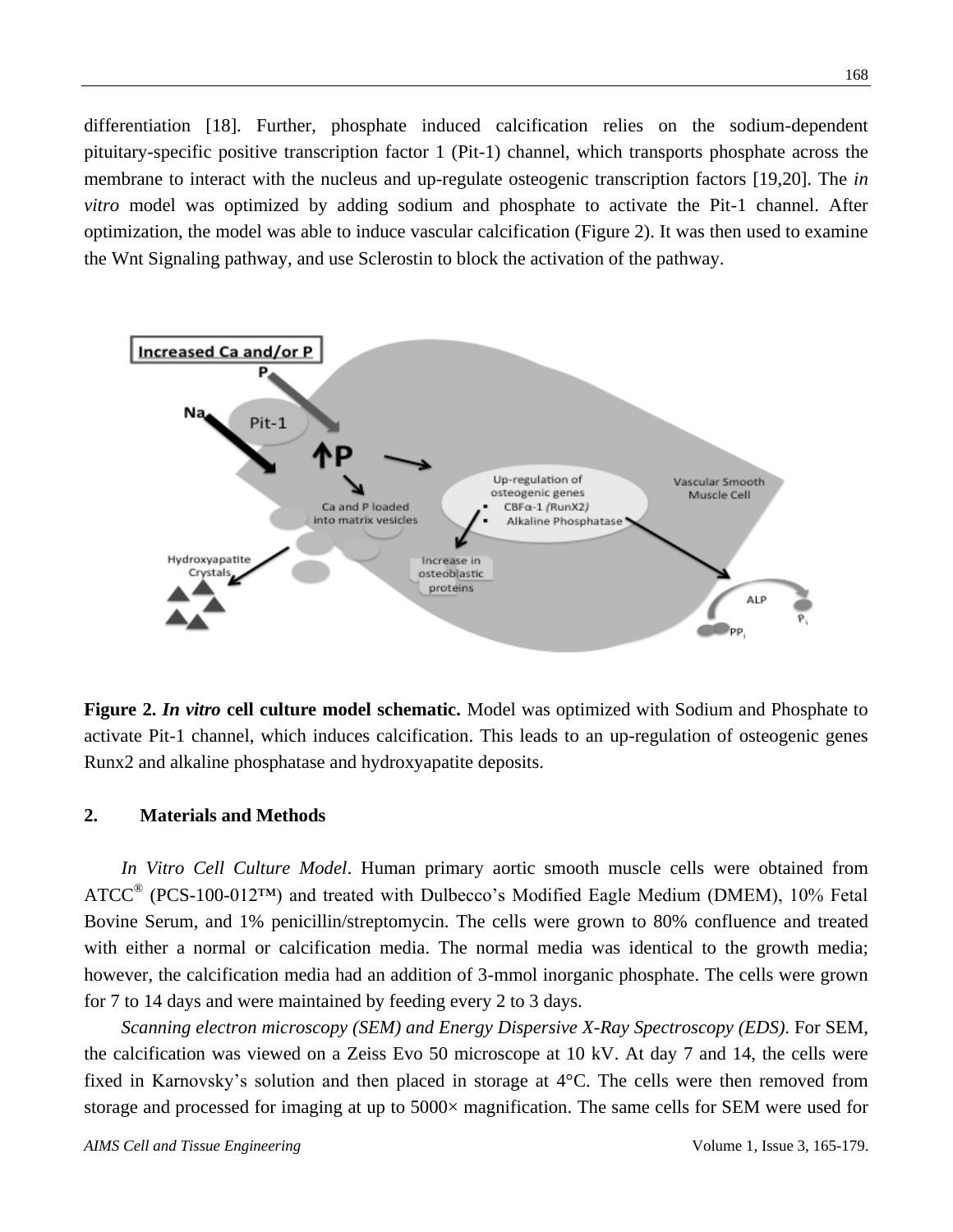differentiation [18]. Further, phosphate induced calcification relies on the sodium-dependent pituitary-specific positive transcription factor 1 (Pit-1) channel, which transports phosphate across the membrane to interact with the nucleus and up-regulate osteogenic transcription factors [19,20]. The *in vitro* model was optimized by adding sodium and phosphate to activate the Pit-1 channel. After optimization, the model was able to induce vascular calcification (Figure 2). It was then used to examine the Wnt Signaling pathway, and use Sclerostin to block the activation of the pathway.



**Figure 2.** *In vitro* **cell culture model schematic.** Model was optimized with Sodium and Phosphate to activate Pit-1 channel, which induces calcification. This leads to an up-regulation of osteogenic genes Runx2 and alkaline phosphatase and hydroxyapatite deposits.

#### **2. Materials and Methods**

*In Vitro Cell Culture Model*. Human primary aortic smooth muscle cells were obtained from  $ATCC^{\circledast}$  (PCS-100-012<sup>TM</sup>) and treated with Dulbecco's Modified Eagle Medium (DMEM), 10% Fetal Bovine Serum, and 1% penicillin/streptomycin. The cells were grown to 80% confluence and treated with either a normal or calcification media. The normal media was identical to the growth media; however, the calcification media had an addition of 3-mmol inorganic phosphate. The cells were grown for 7 to 14 days and were maintained by feeding every 2 to 3 days.

*Scanning electron microscopy (SEM) and Energy Dispersive X-Ray Spectroscopy (EDS)*. For SEM, the calcification was viewed on a Zeiss Evo 50 microscope at 10 kV. At day 7 and 14, the cells were fixed in Karnovsky's solution and then placed in storage at  $4 \, \text{C}$ . The cells were then removed from storage and processed for imaging at up to 5000×magnification. The same cells for SEM were used for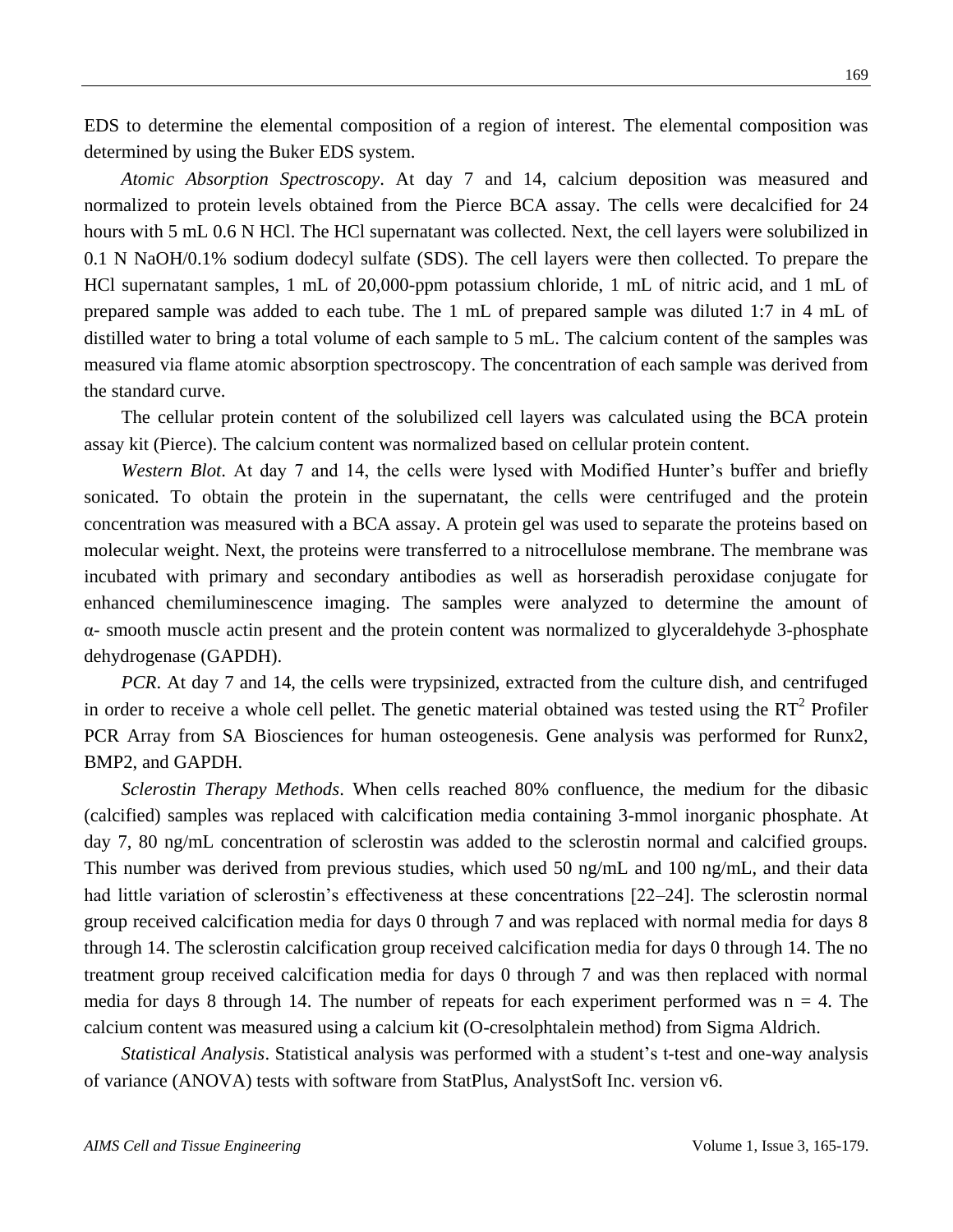EDS to determine the elemental composition of a region of interest. The elemental composition was determined by using the Buker EDS system.

*Atomic Absorption Spectroscopy*. At day 7 and 14, calcium deposition was measured and normalized to protein levels obtained from the Pierce BCA assay. The cells were decalcified for 24 hours with 5 mL 0.6 N HCl. The HCl supernatant was collected. Next, the cell layers were solubilized in 0.1 N NaOH/0.1% sodium dodecyl sulfate (SDS). The cell layers were then collected. To prepare the HCl supernatant samples, 1 mL of 20,000-ppm potassium chloride, 1 mL of nitric acid, and 1 mL of prepared sample was added to each tube. The 1 mL of prepared sample was diluted 1:7 in 4 mL of distilled water to bring a total volume of each sample to 5 mL. The calcium content of the samples was measured via flame atomic absorption spectroscopy. The concentration of each sample was derived from the standard curve.

The cellular protein content of the solubilized cell layers was calculated using the BCA protein assay kit (Pierce). The calcium content was normalized based on cellular protein content.

*Western Blot*. At day 7 and 14, the cells were lysed with Modified Hunter's buffer and briefly sonicated. To obtain the protein in the supernatant, the cells were centrifuged and the protein concentration was measured with a BCA assay. A protein gel was used to separate the proteins based on molecular weight. Next, the proteins were transferred to a nitrocellulose membrane. The membrane was incubated with primary and secondary antibodies as well as horseradish peroxidase conjugate for enhanced chemiluminescence imaging. The samples were analyzed to determine the amount of α- smooth muscle actin present and the protein content was normalized to glyceraldehyde 3-phosphate dehydrogenase (GAPDH).

*PCR*. At day 7 and 14, the cells were trypsinized, extracted from the culture dish, and centrifuged in order to receive a whole cell pellet. The genetic material obtained was tested using the  $RT^2$  Profiler PCR Array from SA Biosciences for human osteogenesis. Gene analysis was performed for Runx2, BMP2, and GAPDH.

*Sclerostin Therapy Methods*. When cells reached 80% confluence, the medium for the dibasic (calcified) samples was replaced with calcification media containing 3-mmol inorganic phosphate. At day 7, 80 ng/mL concentration of sclerostin was added to the sclerostin normal and calcified groups. This number was derived from previous studies, which used 50 ng/mL and 100 ng/mL, and their data had little variation of sclerostin's effectiveness at these concentrations [22–24]. The sclerostin normal group received calcification media for days 0 through 7 and was replaced with normal media for days 8 through 14. The sclerostin calcification group received calcification media for days 0 through 14. The no treatment group received calcification media for days 0 through 7 and was then replaced with normal media for days 8 through 14. The number of repeats for each experiment performed was  $n = 4$ . The calcium content was measured using a calcium kit (O-cresolphtalein method) from Sigma Aldrich.

*Statistical Analysis*. Statistical analysis was performed with a student's t-test and one-way analysis of variance (ANOVA) tests with software from StatPlus, AnalystSoft Inc. version v6.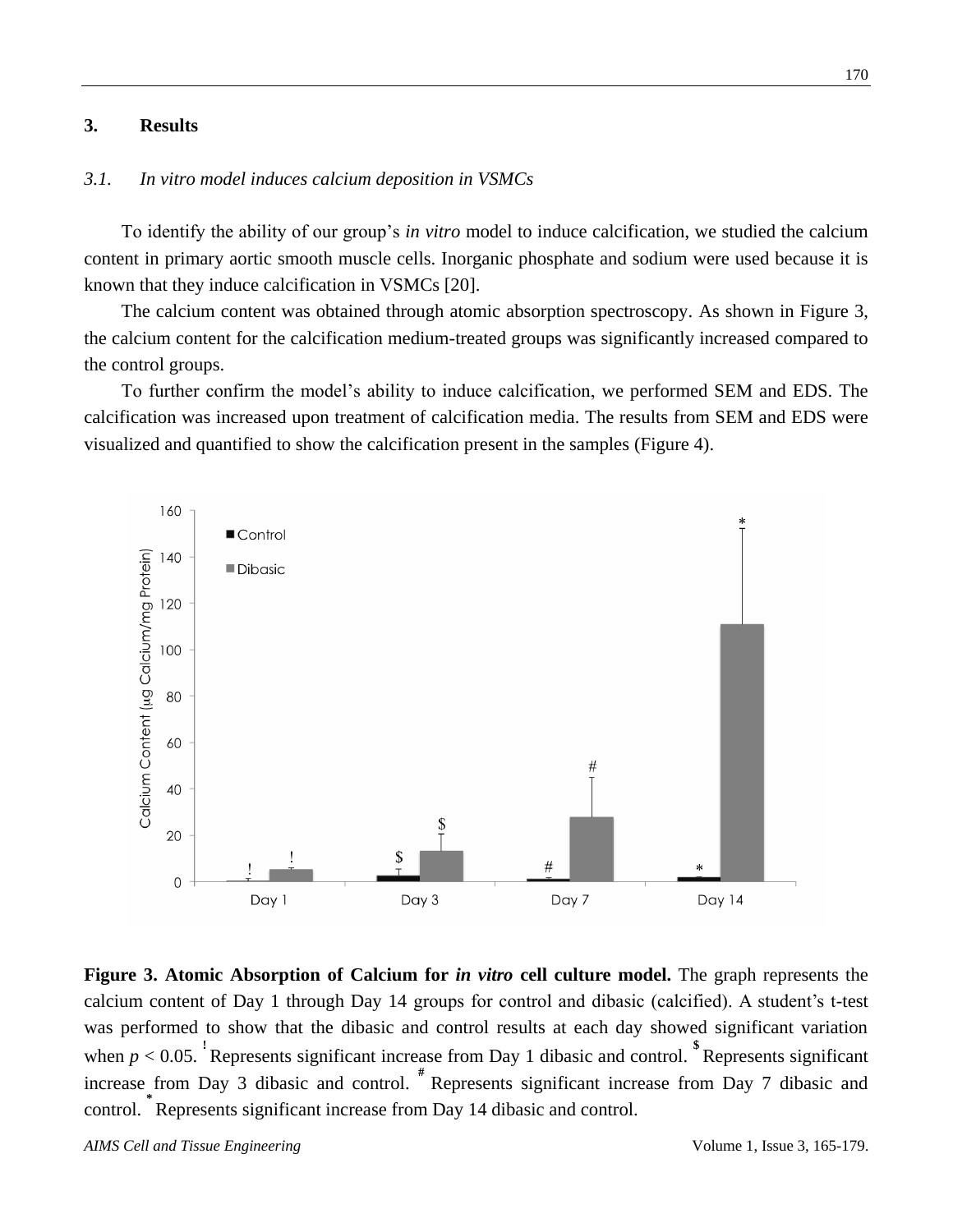#### **3. Results**

# *3.1. In vitro model induces calcium deposition in VSMCs*

To identify the ability of our group's *in vitro* model to induce calcification, we studied the calcium content in primary aortic smooth muscle cells. Inorganic phosphate and sodium were used because it is known that they induce calcification in VSMCs [20].

The calcium content was obtained through atomic absorption spectroscopy. As shown in Figure 3, the calcium content for the calcification medium-treated groups was significantly increased compared to the control groups.

To further confirm the model's ability to induce calcification, we performed SEM and EDS. The calcification was increased upon treatment of calcification media. The results from SEM and EDS were visualized and quantified to show the calcification present in the samples (Figure 4).



**Figure 3. Atomic Absorption of Calcium for** *in vitro* **cell culture model.** The graph represents the calcium content of Day 1 through Day 14 groups for control and dibasic (calcified). A student's t-test was performed to show that the dibasic and control results at each day showed significant variation when  $p < 0.05$ . Represents significant increase from Day 1 dibasic and control.  $\degree$ Represents significant increase from Day 3 dibasic and control. **#** Represents significant increase from Day 7 dibasic and control. **\*** Represents significant increase from Day 14 dibasic and control.

*AIMS Cell and Tissue Engineering* Volume 1, Issue 3, 165-179.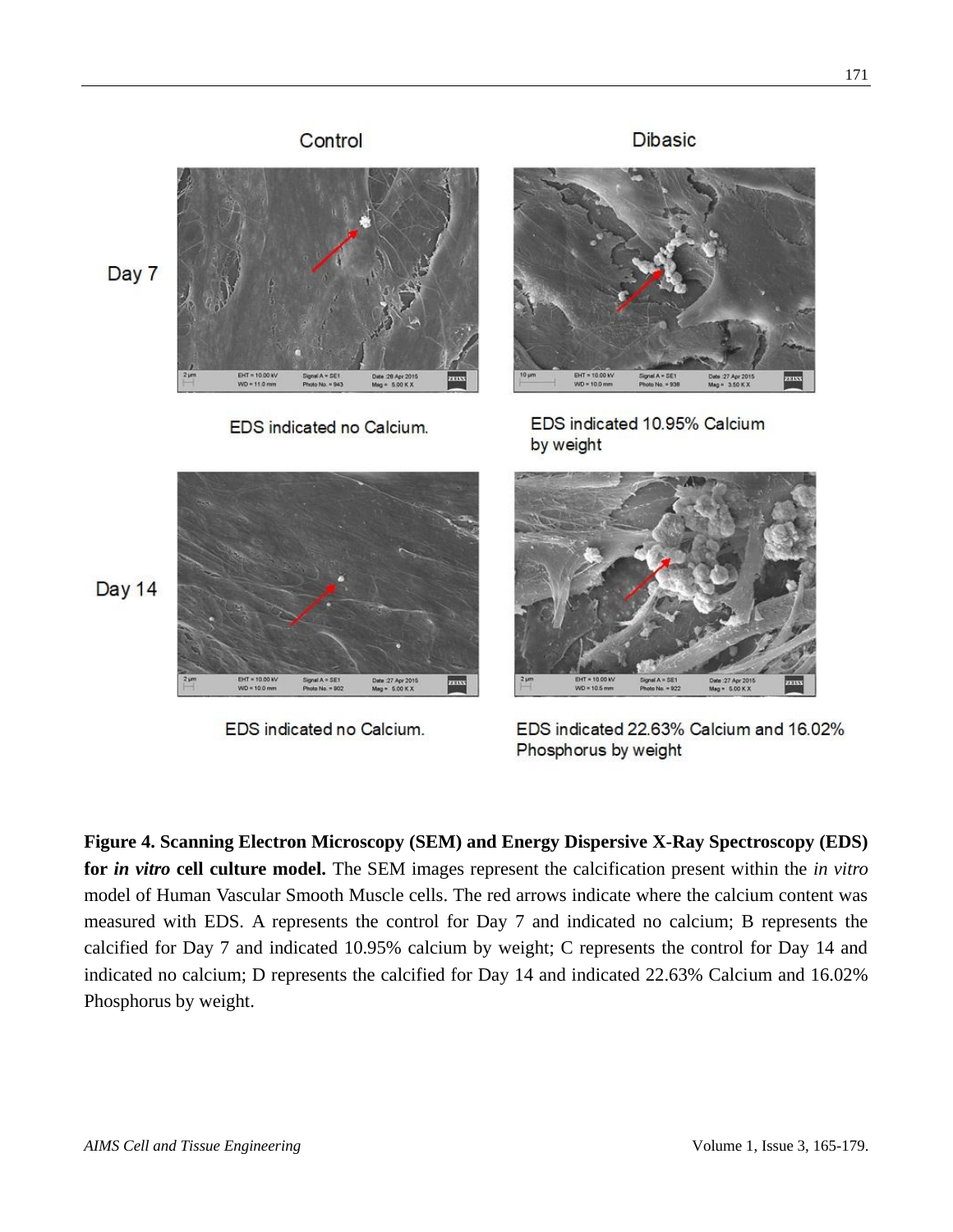

EDS indicated no Calcium.

EDS indicated 22.63% Calcium and 16.02% Phosphorus by weight

**Figure 4. Scanning Electron Microscopy (SEM) and Energy Dispersive X-Ray Spectroscopy (EDS) for** *in vitro* **cell culture model.** The SEM images represent the calcification present within the *in vitro* model of Human Vascular Smooth Muscle cells. The red arrows indicate where the calcium content was measured with EDS. A represents the control for Day 7 and indicated no calcium; B represents the calcified for Day 7 and indicated 10.95% calcium by weight; C represents the control for Day 14 and indicated no calcium; D represents the calcified for Day 14 and indicated 22.63% Calcium and 16.02% Phosphorus by weight.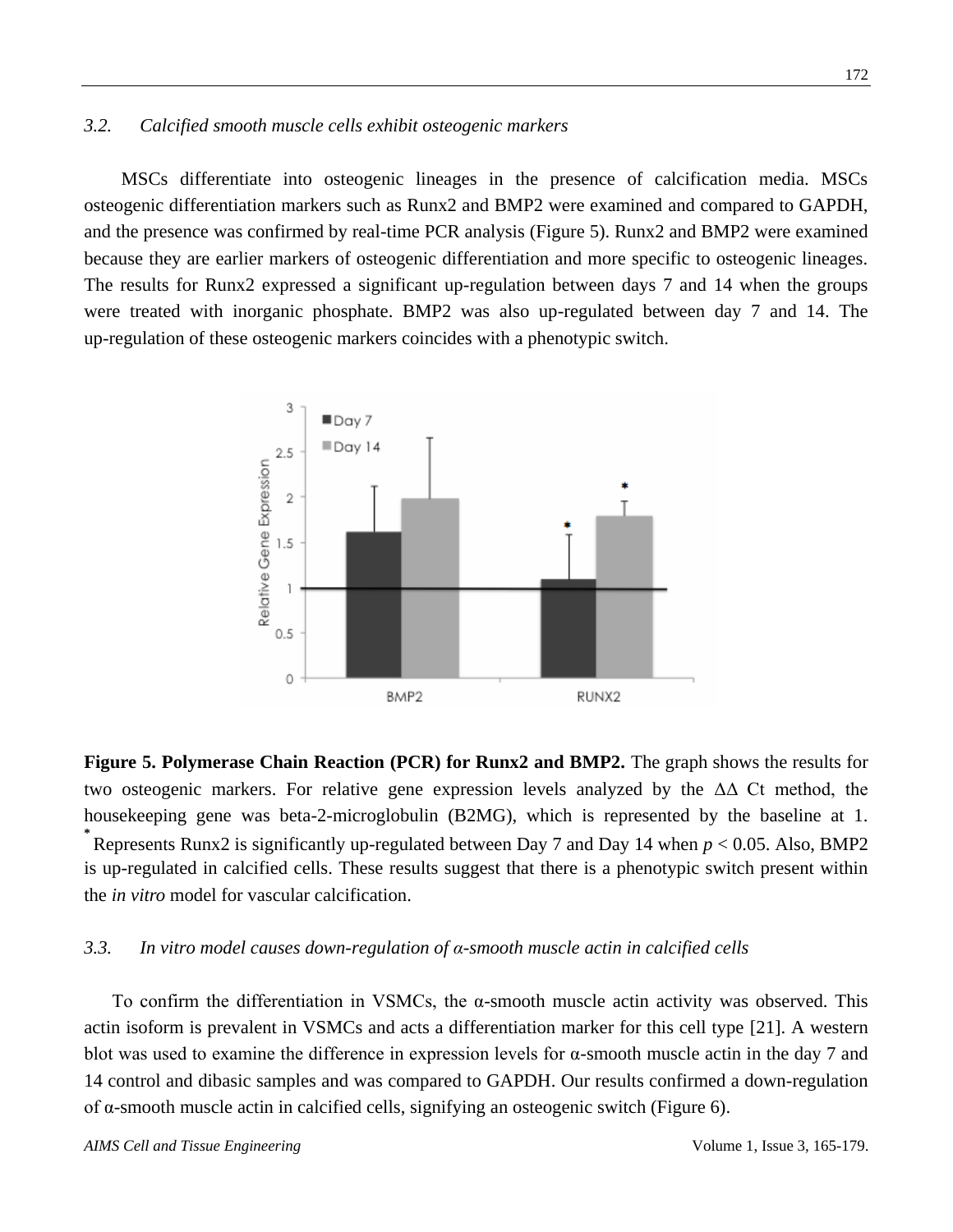#### *3.2. Calcified smooth muscle cells exhibit osteogenic markers*

MSCs differentiate into osteogenic lineages in the presence of calcification media. MSCs osteogenic differentiation markers such as Runx2 and BMP2 were examined and compared to GAPDH, and the presence was confirmed by real-time PCR analysis (Figure 5). Runx2 and BMP2 were examined because they are earlier markers of osteogenic differentiation and more specific to osteogenic lineages. The results for Runx2 expressed a significant up-regulation between days 7 and 14 when the groups were treated with inorganic phosphate. BMP2 was also up-regulated between day 7 and 14. The up-regulation of these osteogenic markers coincides with a phenotypic switch.



**Figure 5. Polymerase Chain Reaction (PCR) for Runx2 and BMP2.** The graph shows the results for two osteogenic markers. For relative gene expression levels analyzed by the  $\Delta\Delta$  Ct method, the housekeeping gene was beta-2-microglobulin (B2MG), which is represented by the baseline at 1. **\*** Represents Runx2 is significantly up-regulated between Day 7 and Day 14 when *p* < 0.05. Also, BMP2 is up-regulated in calcified cells. These results suggest that there is a phenotypic switch present within the *in vitro* model for vascular calcification.

#### *3.3. In vitro model causes down-regulation of α-smooth muscle actin in calcified cells*

To confirm the differentiation in VSMCs, the  $\alpha$ -smooth muscle actin activity was observed. This actin isoform is prevalent in VSMCs and acts a differentiation marker for this cell type [21]. A western blot was used to examine the difference in expression levels for  $\alpha$ -smooth muscle actin in the day 7 and 14 control and dibasic samples and was compared to GAPDH. Our results confirmed a down-regulation of α-smooth muscle actin in calcified cells, signifying an osteogenic switch (Figure 6).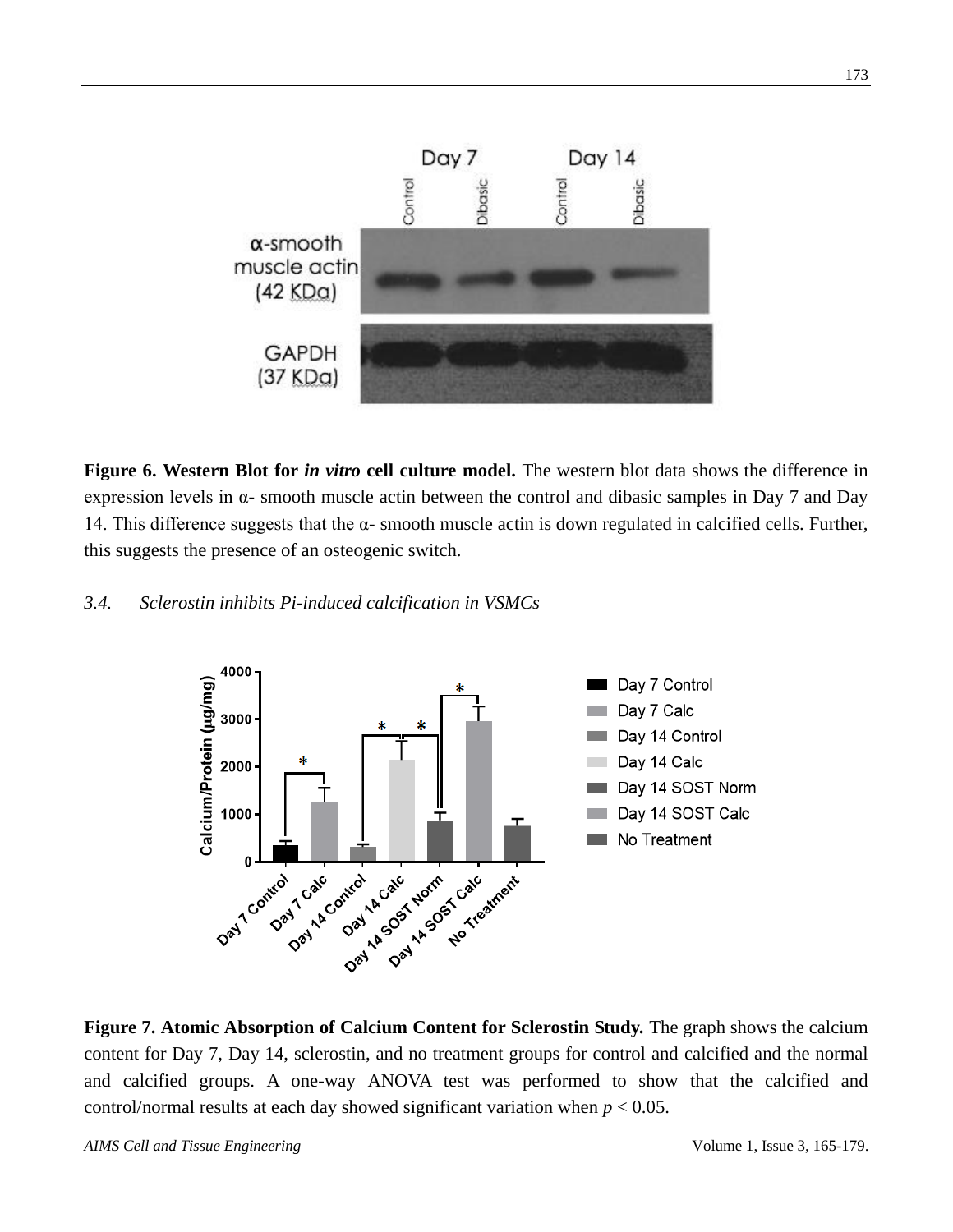

**Figure 6. Western Blot for** *in vitro* **cell culture model.** The western blot data shows the difference in expression levels in  $\alpha$ - smooth muscle actin between the control and dibasic samples in Day 7 and Day 14. This difference suggests that the α- smooth muscle actin is down regulated in calcified cells. Further, this suggests the presence of an osteogenic switch.

# *3.4. Sclerostin inhibits Pi-induced calcification in VSMCs*



**Figure 7. Atomic Absorption of Calcium Content for Sclerostin Study.** The graph shows the calcium content for Day 7, Day 14, sclerostin, and no treatment groups for control and calcified and the normal and calcified groups. A one-way ANOVA test was performed to show that the calcified and control/normal results at each day showed significant variation when  $p < 0.05$ .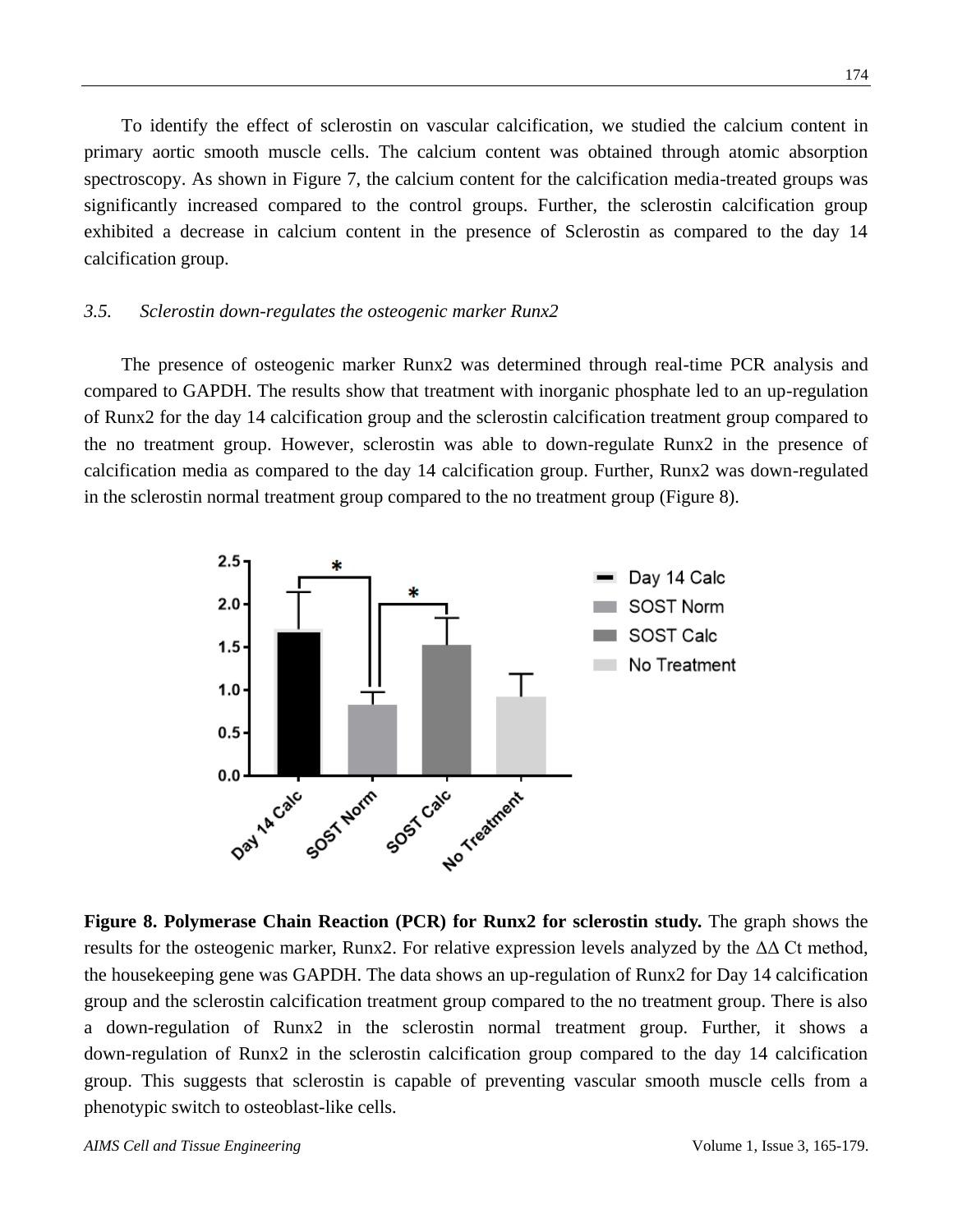To identify the effect of sclerostin on vascular calcification, we studied the calcium content in primary aortic smooth muscle cells. The calcium content was obtained through atomic absorption spectroscopy. As shown in Figure 7, the calcium content for the calcification media-treated groups was significantly increased compared to the control groups. Further, the sclerostin calcification group exhibited a decrease in calcium content in the presence of Sclerostin as compared to the day 14 calcification group.

# *3.5. Sclerostin down-regulates the osteogenic marker Runx2*

The presence of osteogenic marker Runx2 was determined through real-time PCR analysis and compared to GAPDH. The results show that treatment with inorganic phosphate led to an up-regulation of Runx2 for the day 14 calcification group and the sclerostin calcification treatment group compared to the no treatment group. However, sclerostin was able to down-regulate Runx2 in the presence of calcification media as compared to the day 14 calcification group. Further, Runx2 was down-regulated in the sclerostin normal treatment group compared to the no treatment group (Figure 8).



**Figure 8. Polymerase Chain Reaction (PCR) for Runx2 for sclerostin study.** The graph shows the results for the osteogenic marker, Runx2. For relative expression levels analyzed by the  $\Delta\Delta$  Ct method, the housekeeping gene was GAPDH. The data shows an up-regulation of Runx2 for Day 14 calcification group and the sclerostin calcification treatment group compared to the no treatment group. There is also a down-regulation of Runx2 in the sclerostin normal treatment group. Further, it shows a down-regulation of Runx2 in the sclerostin calcification group compared to the day 14 calcification group. This suggests that sclerostin is capable of preventing vascular smooth muscle cells from a phenotypic switch to osteoblast-like cells.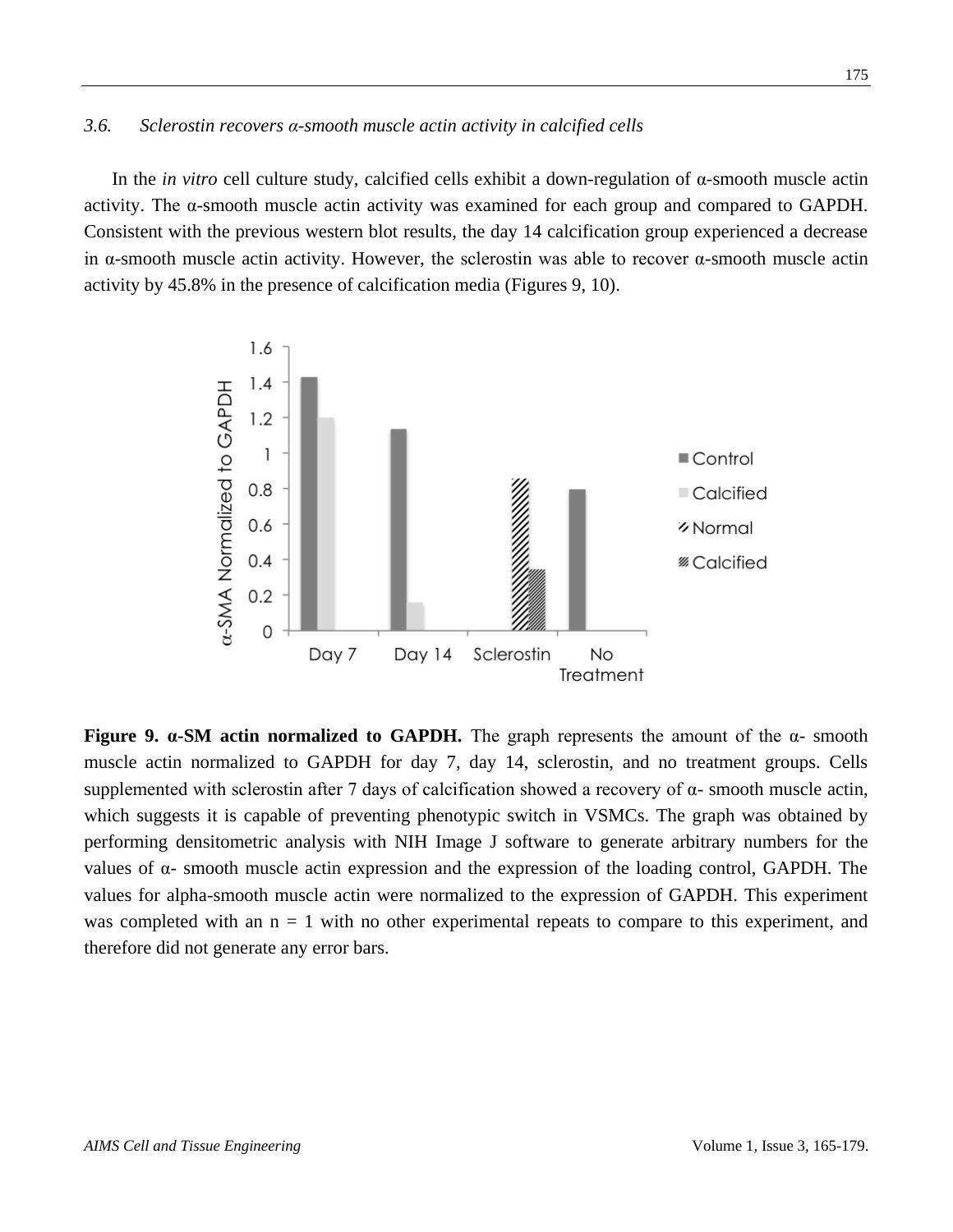#### *3.6. Sclerostin recovers α-smooth muscle actin activity in calcified cells*

In the *in vitro* cell culture study, calcified cells exhibit a down-regulation of α-smooth muscle actin activity. The  $\alpha$ -smooth muscle actin activity was examined for each group and compared to GAPDH. Consistent with the previous western blot results, the day 14 calcification group experienced a decrease in  $\alpha$ -smooth muscle actin activity. However, the sclerostin was able to recover  $\alpha$ -smooth muscle actin activity by 45.8% in the presence of calcification media (Figures 9, 10).



**Figure 9.**  $\alpha$ **-SM actin normalized to GAPDH.** The graph represents the amount of the  $\alpha$ - smooth muscle actin normalized to GAPDH for day 7, day 14, sclerostin, and no treatment groups. Cells supplemented with sclerostin after 7 days of calcification showed a recovery of  $\alpha$ - smooth muscle actin, which suggests it is capable of preventing phenotypic switch in VSMCs. The graph was obtained by performing densitometric analysis with NIH Image J software to generate arbitrary numbers for the values of α- smooth muscle actin expression and the expression of the loading control, GAPDH. The values for alpha-smooth muscle actin were normalized to the expression of GAPDH. This experiment was completed with an  $n = 1$  with no other experimental repeats to compare to this experiment, and therefore did not generate any error bars.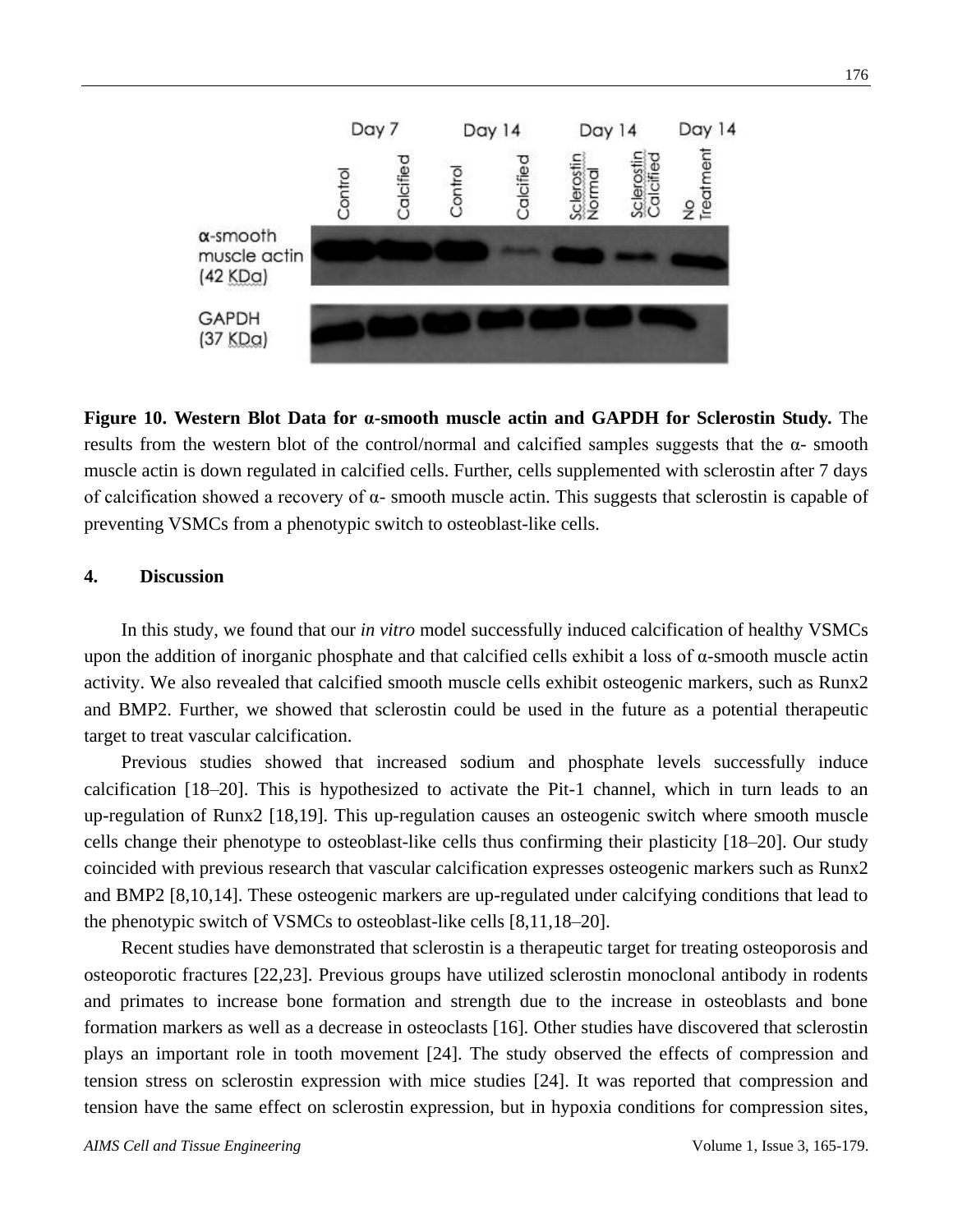

**Figure 10. Western Blot Data for α-smooth muscle actin and GAPDH for Sclerostin Study.** The results from the western blot of the control/normal and calcified samples suggests that the α- smooth muscle actin is down regulated in calcified cells. Further, cells supplemented with sclerostin after 7 days of calcification showed a recovery of α- smooth muscle actin. This suggests that sclerostin is capable of preventing VSMCs from a phenotypic switch to osteoblast-like cells.

# **4. Discussion**

In this study, we found that our *in vitro* model successfully induced calcification of healthy VSMCs upon the addition of inorganic phosphate and that calcified cells exhibit a loss of  $\alpha$ -smooth muscle actin activity. We also revealed that calcified smooth muscle cells exhibit osteogenic markers, such as Runx2 and BMP2. Further, we showed that sclerostin could be used in the future as a potential therapeutic target to treat vascular calcification.

Previous studies showed that increased sodium and phosphate levels successfully induce calcification [18–20]. This is hypothesized to activate the Pit-1 channel, which in turn leads to an up-regulation of Runx2 [18,19]. This up-regulation causes an osteogenic switch where smooth muscle cells change their phenotype to osteoblast-like cells thus confirming their plasticity [18–20]. Our study coincided with previous research that vascular calcification expresses osteogenic markers such as Runx2 and BMP2 [8,10,14]. These osteogenic markers are up-regulated under calcifying conditions that lead to the phenotypic switch of VSMCs to osteoblast-like cells [8,11,18–20].

Recent studies have demonstrated that sclerostin is a therapeutic target for treating osteoporosis and osteoporotic fractures [22,23]. Previous groups have utilized sclerostin monoclonal antibody in rodents and primates to increase bone formation and strength due to the increase in osteoblasts and bone formation markers as well as a decrease in osteoclasts [16]. Other studies have discovered that sclerostin plays an important role in tooth movement [24]. The study observed the effects of compression and tension stress on sclerostin expression with mice studies [24]. It was reported that compression and tension have the same effect on sclerostin expression, but in hypoxia conditions for compression sites,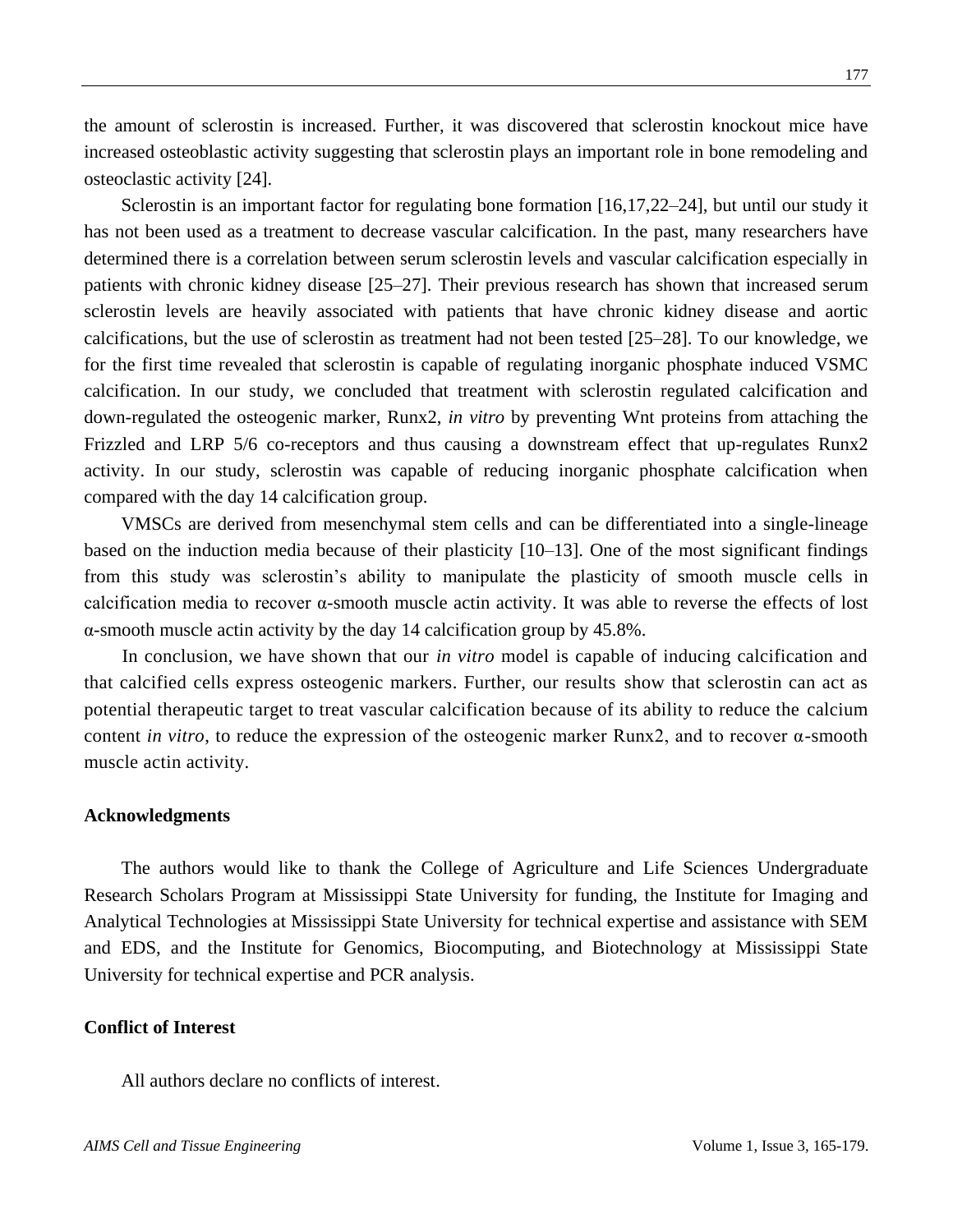the amount of sclerostin is increased. Further, it was discovered that sclerostin knockout mice have increased osteoblastic activity suggesting that sclerostin plays an important role in bone remodeling and osteoclastic activity [24].

Sclerostin is an important factor for regulating bone formation [16,17,22–24], but until our study it has not been used as a treatment to decrease vascular calcification. In the past, many researchers have determined there is a correlation between serum sclerostin levels and vascular calcification especially in patients with chronic kidney disease [25–27]. Their previous research has shown that increased serum sclerostin levels are heavily associated with patients that have chronic kidney disease and aortic calcifications, but the use of sclerostin as treatment had not been tested [25–28]. To our knowledge, we for the first time revealed that sclerostin is capable of regulating inorganic phosphate induced VSMC calcification. In our study, we concluded that treatment with sclerostin regulated calcification and down-regulated the osteogenic marker, Runx2, *in vitro* by preventing Wnt proteins from attaching the Frizzled and LRP 5/6 co-receptors and thus causing a downstream effect that up-regulates Runx2 activity. In our study, sclerostin was capable of reducing inorganic phosphate calcification when compared with the day 14 calcification group.

VMSCs are derived from mesenchymal stem cells and can be differentiated into a single-lineage based on the induction media because of their plasticity [10–13]. One of the most significant findings from this study was sclerostin's ability to manipulate the plasticity of smooth muscle cells in calcification media to recover α-smooth muscle actin activity. It was able to reverse the effects of lost α-smooth muscle actin activity by the day 14 calcification group by 45.8%.

In conclusion, we have shown that our *in vitro* model is capable of inducing calcification and that calcified cells express osteogenic markers. Further, our results show that sclerostin can act as potential therapeutic target to treat vascular calcification because of its ability to reduce the calcium content *in vitro*, to reduce the expression of the osteogenic marker Runx2, and to recover  $\alpha$ -smooth muscle actin activity.

#### **Acknowledgments**

The authors would like to thank the College of Agriculture and Life Sciences Undergraduate Research Scholars Program at Mississippi State University for funding, the Institute for Imaging and Analytical Technologies at Mississippi State University for technical expertise and assistance with SEM and EDS, and the Institute for Genomics, Biocomputing, and Biotechnology at Mississippi State University for technical expertise and PCR analysis.

# **Conflict of Interest**

All authors declare no conflicts of interest.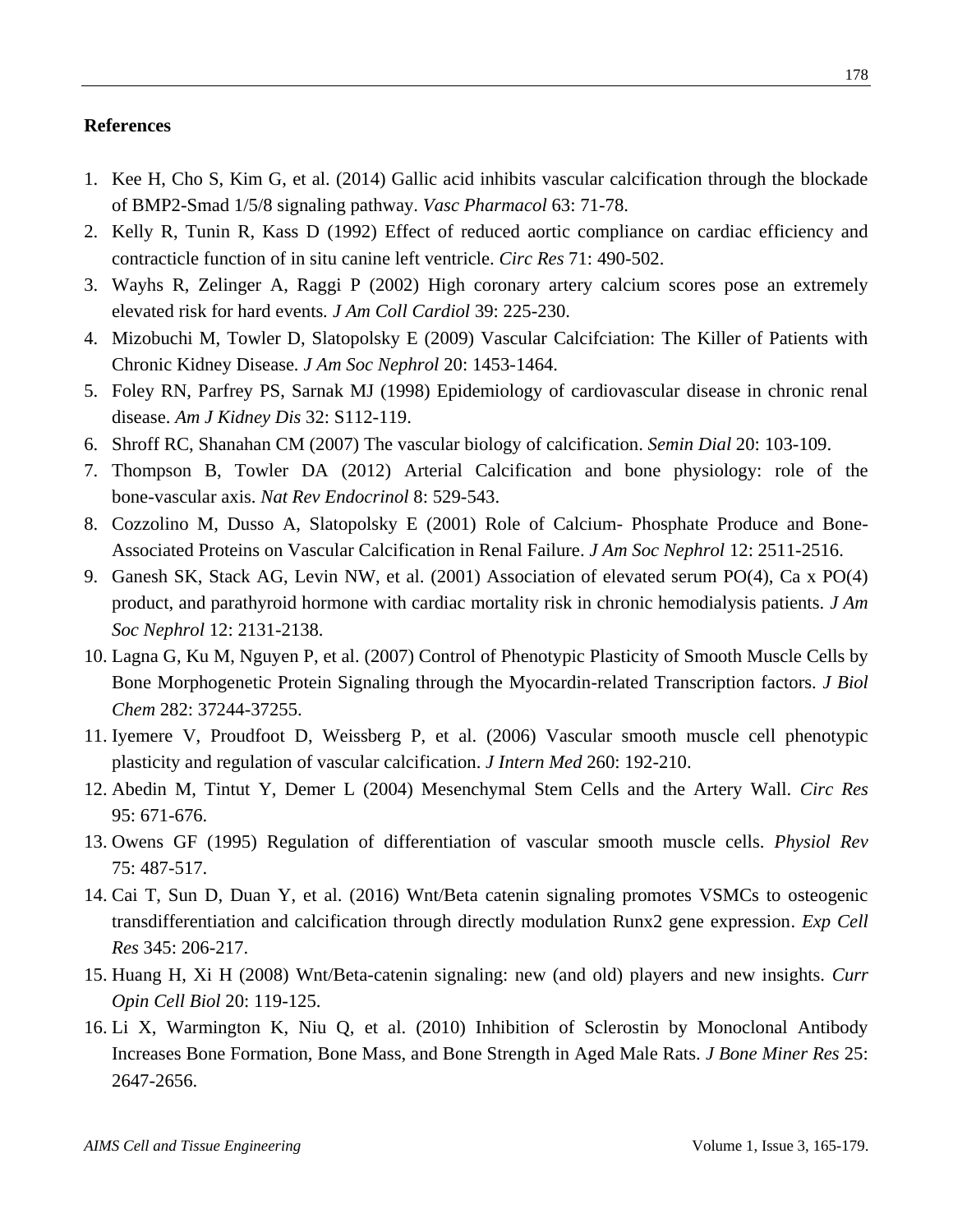### **References**

- 1. Kee H, Cho S, Kim G, et al. (2014) Gallic acid inhibits vascular calcification through the blockade of BMP2-Smad 1/5/8 signaling pathway. *Vasc Pharmacol* 63: 71-78.
- 2. Kelly R, Tunin R, Kass D (1992) Effect of reduced aortic compliance on cardiac efficiency and contracticle function of in situ canine left ventricle. *Circ Res* 71: 490-502.
- 3. Wayhs R, Zelinger A, Raggi P (2002) High coronary artery calcium scores pose an extremely elevated risk for hard events*. J Am Coll Cardiol* 39: 225-230.
- 4. Mizobuchi M, Towler D, Slatopolsky E (2009) Vascular Calcifciation: The Killer of Patients with Chronic Kidney Disease*. J Am Soc Nephrol* 20: 1453-1464.
- 5. Foley RN, Parfrey PS, Sarnak MJ (1998) Epidemiology of cardiovascular disease in chronic renal disease. *Am J Kidney Dis* 32: S112-119.
- 6. Shroff RC, Shanahan CM (2007) The vascular biology of calcification. *Semin Dial* 20: 103-109.
- 7. Thompson B, Towler DA (2012) Arterial Calcification and bone physiology: role of the bone-vascular axis. *Nat Rev Endocrinol* 8: 529-543.
- 8. Cozzolino M, Dusso A, Slatopolsky E (2001) Role of Calcium- Phosphate Produce and Bone-Associated Proteins on Vascular Calcification in Renal Failure. *J Am Soc Nephrol* 12: 2511-2516.
- 9. Ganesh SK, Stack AG, Levin NW, et al. (2001) Association of elevated serum PO(4), Ca x PO(4) product, and parathyroid hormone with cardiac mortality risk in chronic hemodialysis patients. *J Am Soc Nephrol* 12: 2131-2138.
- 10. Lagna G, Ku M, Nguyen P, et al. (2007) Control of Phenotypic Plasticity of Smooth Muscle Cells by Bone Morphogenetic Protein Signaling through the Myocardin-related Transcription factors. *J Biol Chem* 282: 37244-37255.
- 11. Iyemere V, Proudfoot D, Weissberg P, et al. (2006) Vascular smooth muscle cell phenotypic plasticity and regulation of vascular calcification. *J Intern Med* 260: 192-210.
- 12. Abedin M, Tintut Y, Demer L (2004) Mesenchymal Stem Cells and the Artery Wall. *Circ Res* 95: 671-676.
- 13. Owens GF (1995) Regulation of differentiation of vascular smooth muscle cells. *Physiol Rev* 75: 487-517.
- 14. Cai T, Sun D, Duan Y, et al. (2016) Wnt/Beta catenin signaling promotes VSMCs to osteogenic transdifferentiation and calcification through directly modulation Runx2 gene expression. *Exp Cell Res* 345: 206-217.
- 15. Huang H, Xi H (2008) Wnt/Beta-catenin signaling: new (and old) players and new insights. *Curr Opin Cell Biol* 20: 119-125.
- 16. Li X, Warmington K, Niu Q, et al. (2010) Inhibition of Sclerostin by Monoclonal Antibody Increases Bone Formation, Bone Mass, and Bone Strength in Aged Male Rats. *J Bone Miner Res* 25: 2647-2656.